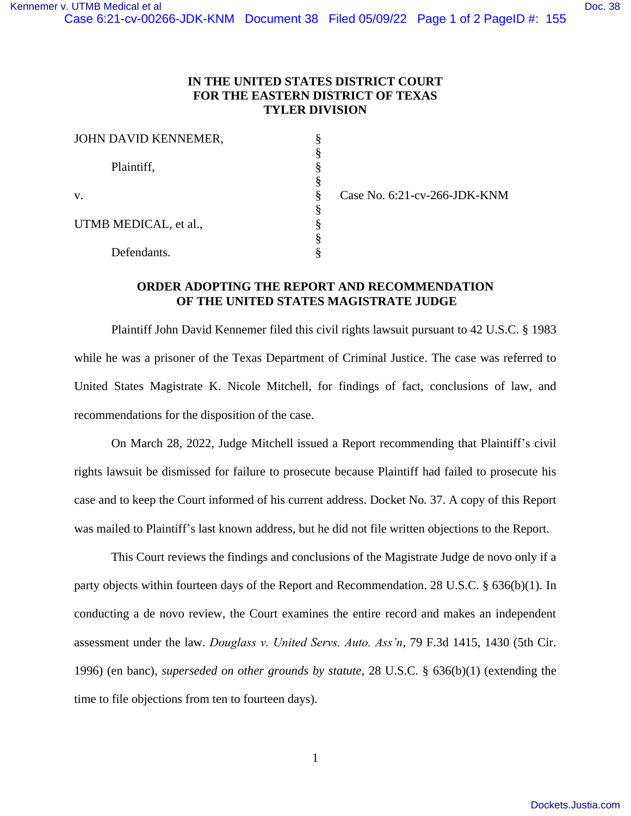## **IN THE UNITED STATES DISTRICT COURT FOR THE EASTERN DISTRICT OF TEXAS TYLER DIVISION**

| JOHN DAVID KENNEMER,  | § |
|-----------------------|---|
| Plaintiff,            | § |
|                       | § |
|                       | ş |
| V.                    | ş |
|                       | § |
| UTMB MEDICAL, et al., | § |
|                       | § |
| Defendants.           | § |

Case No. 6:21-cv-266-JDK-KNM

## **ORDER ADOPTING THE REPORT AND RECOMMENDATION OF THE UNITED STATES MAGISTRATE JUDGE**

Plaintiff John David Kennemer filed this civil rights lawsuit pursuant to 42 U.S.C. § 1983 while he was a prisoner of the Texas Department of Criminal Justice. The case was referred to United States Magistrate K. Nicole Mitchell, for findings of fact, conclusions of law, and recommendations for the disposition of the case.

On March 28, 2022, Judge Mitchell issued a Report recommending that Plaintiff's civil rights lawsuit be dismissed for failure to prosecute because Plaintiff had failed to prosecute his case and to keep the Court informed of his current address. Docket No*.* 37. A copy of this Report was mailed to Plaintiff's last known address, but he did not file written objections to the Report.

This Court reviews the findings and conclusions of the Magistrate Judge de novo only if a party objects within fourteen days of the Report and Recommendation. 28 U.S.C. § 636(b)(1). In conducting a de novo review, the Court examines the entire record and makes an independent assessment under the law. *Douglass v. United Servs. Auto. Ass'n*, 79 F.3d 1415, 1430 (5th Cir. 1996) (en banc), *superseded on other grounds by statute*, 28 U.S.C. § 636(b)(1) (extending the time to file objections from ten to fourteen days).